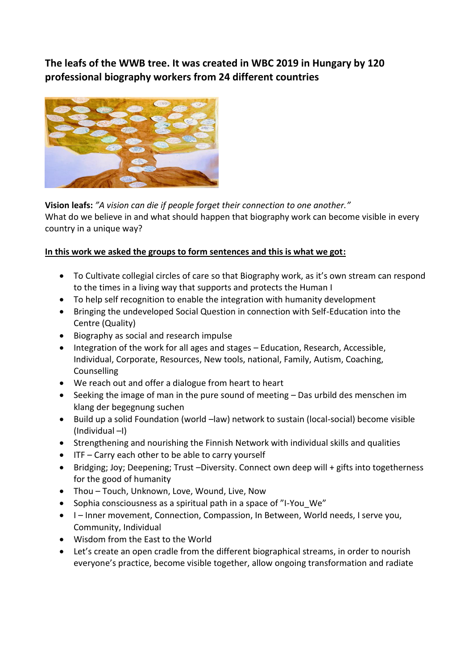**The leafs of the WWB tree. It was created in WBC 2019 in Hungary by 120 professional biography workers from 24 different countries**



**Vision leafs:** *"A vision can die if people forget their connection to one another."*

What do we believe in and what should happen that biography work can become visible in every country in a unique way?

## **In this work we asked the groups to form sentences and this is what we got:**

- To Cultivate collegial circles of care so that Biography work, as it's own stream can respond to the times in a living way that supports and protects the Human I
- To help self recognition to enable the integration with humanity development
- Bringing the undeveloped Social Question in connection with Self-Education into the Centre (Quality)
- Biography as social and research impulse
- Integration of the work for all ages and stages Education, Research, Accessible, Individual, Corporate, Resources, New tools, national, Family, Autism, Coaching, Counselling
- We reach out and offer a dialogue from heart to heart
- Seeking the image of man in the pure sound of meeting Das urbild des menschen im klang der begegnung suchen
- Build up a solid Foundation (world –law) network to sustain (local-social) become visible (Individual –I)
- Strengthening and nourishing the Finnish Network with individual skills and qualities
- ITF Carry each other to be able to carry yourself
- Bridging; Joy; Deepening; Trust –Diversity. Connect own deep will + gifts into togetherness for the good of humanity
- Thou Touch, Unknown, Love, Wound, Live, Now
- Sophia consciousness as a spiritual path in a space of "I-You\_We"
- I Inner movement, Connection, Compassion, In Between, World needs, I serve you, Community, Individual
- Wisdom from the East to the World
- Let's create an open cradle from the different biographical streams, in order to nourish everyone's practice, become visible together, allow ongoing transformation and radiate